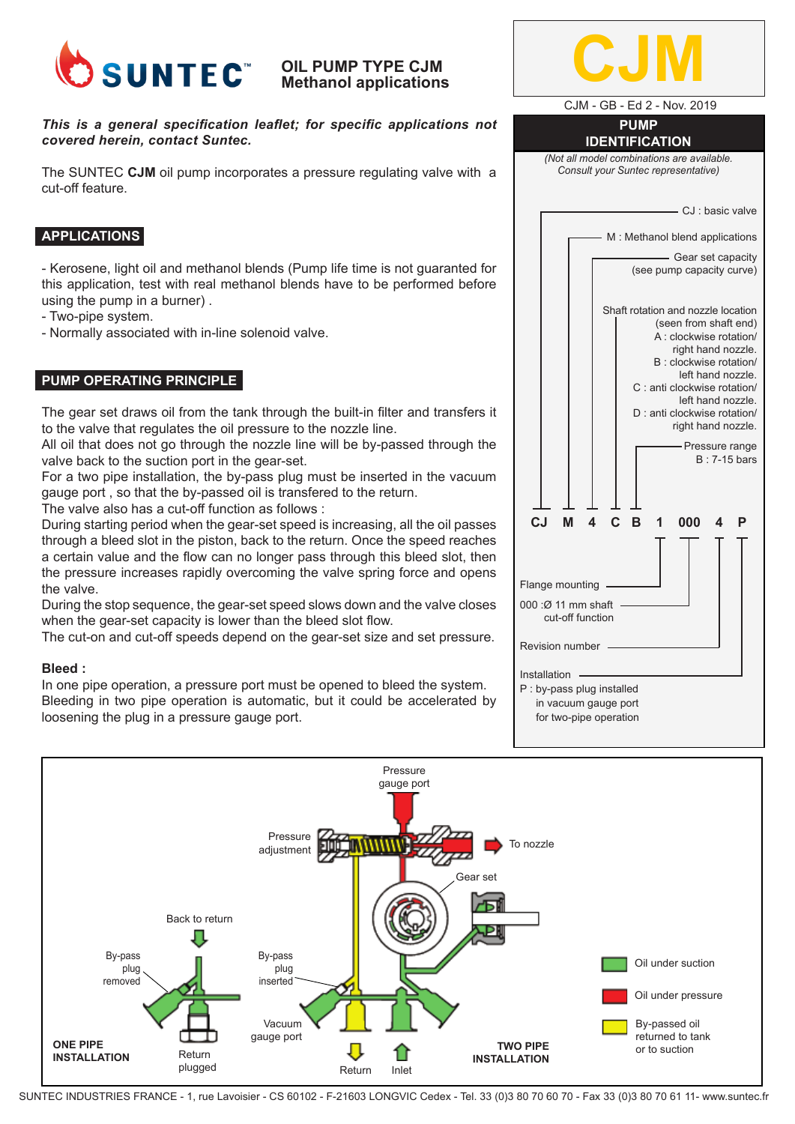

# **OIL PUMP TYPE CJM Methanol applications**

### *This is a general specification leaflet; for specific applications not covered herein, contact Suntec.*

The SUNTEC **CJM** oil pump incorporates a pressure regulating valve with a cut-off feature.

## **APPLICATIONS**

- Kerosene, light oil and methanol blends (Pump life time is not guaranted for this application, test with real methanol blends have to be performed before using the pump in a burner) .

- Two-pipe system.
- Normally associated with in-line solenoid valve.

### **PUMP OPERATING PRINCIPLE**

The gear set draws oil from the tank through the built-in filter and transfers it to the valve that regulates the oil pressure to the nozzle line.

All oil that does not go through the nozzle line will be by-passed through the valve back to the suction port in the gear-set.

For a two pipe installation, the by-pass plug must be inserted in the vacuum gauge port , so that the by-passed oil is transfered to the return.

The valve also has a cut-off function as follows :

During starting period when the gear-set speed is increasing, all the oil passes through a bleed slot in the piston, back to the return. Once the speed reaches a certain value and the flow can no longer pass through this bleed slot, then the pressure increases rapidly overcoming the valve spring force and opens the valve.

During the stop sequence, the gear-set speed slows down and the valve closes when the gear-set capacity is lower than the bleed slot flow.

The cut-on and cut-off speeds depend on the gear-set size and set pressure.

#### **Bleed :**

In one pipe operation, a pressure port must be opened to bleed the system. Bleeding in two pipe operation is automatic, but it could be accelerated by loosening the plug in a pressure gauge port.

|                                                                   | CJM - GB - Ed 2 - Nov. 2019                                                                                                                                                                                                                                                                                |
|-------------------------------------------------------------------|------------------------------------------------------------------------------------------------------------------------------------------------------------------------------------------------------------------------------------------------------------------------------------------------------------|
|                                                                   | <b>PUMP</b><br><b>IDENTIFICATION</b>                                                                                                                                                                                                                                                                       |
|                                                                   | (Not all model combinations are available.<br>Consult your Suntec representative)                                                                                                                                                                                                                          |
|                                                                   | CJ: basic valve                                                                                                                                                                                                                                                                                            |
|                                                                   | M : Methanol blend applications                                                                                                                                                                                                                                                                            |
|                                                                   | - Gear set capacity<br>(see pump capacity curve)                                                                                                                                                                                                                                                           |
|                                                                   | Shaft rotation and nozzle location<br>(seen from shaft end)<br>A : clockwise rotation/<br>right hand nozzle.<br>B: clockwise rotation/<br>left hand nozzle.<br>C : anti clockwise rotation/<br>left hand nozzle.<br>D : anti clockwise rotation/<br>right hand nozzle.<br>- Pressure range<br>B: 7-15 bars |
| <b>CJ</b><br>М                                                    | C<br>000<br>4<br>B<br>P<br>1<br>4                                                                                                                                                                                                                                                                          |
| Flange mounting<br>000 : Ø 11 mm shaft<br>cut-off function        |                                                                                                                                                                                                                                                                                                            |
| <b>Revision number</b>                                            |                                                                                                                                                                                                                                                                                                            |
| Installation<br>P: by-pass plug installed<br>in vacuum gauge port |                                                                                                                                                                                                                                                                                                            |

for two-pipe operation